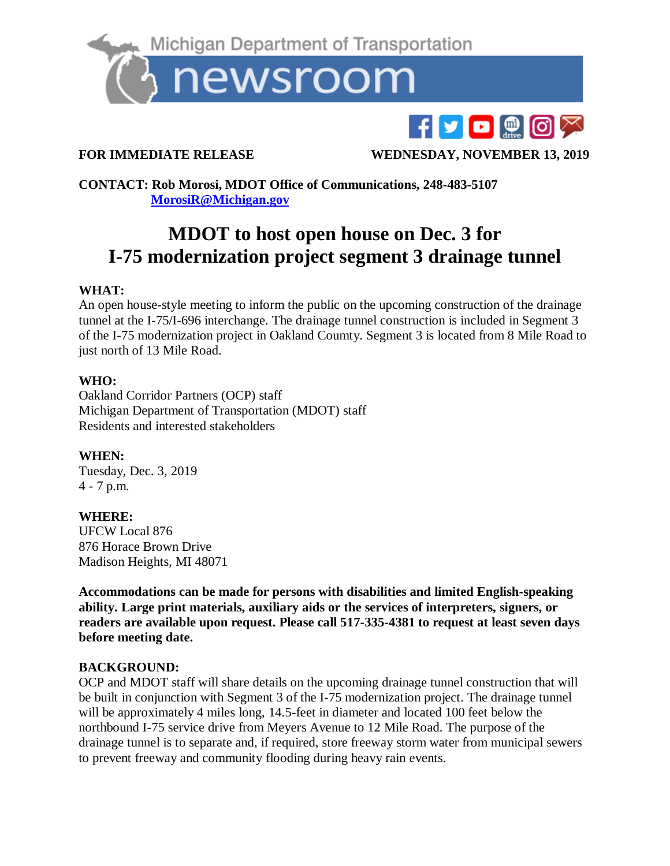

# F**yo**@@X

**FOR IMMEDIATE RELEASE WEDNESDAY, NOVEMBER 13, 2019** 

**CONTACT: Rob Morosi, MDOT Office of Communications, 248-483-5107 [MorosiR@Michigan.gov](mailto:MorosiR@Michigan.gov)**

## **MDOT to host open house on Dec. 3 for I-75 modernization project segment 3 drainage tunnel**

### **WHAT:**

An open house-style meeting to inform the public on the upcoming construction of the drainage tunnel at the I-75/I-696 interchange. The drainage tunnel construction is included in Segment 3 of the I-75 modernization project in Oakland Coumty. Segment 3 is located from 8 Mile Road to just north of 13 Mile Road.

#### **WHO:**

Oakland Corridor Partners (OCP) staff Michigan Department of Transportation (MDOT) staff Residents and interested stakeholders

#### **WHEN:**

Tuesday, Dec. 3, 2019 4 - 7 p.m.

#### **WHERE:**

UFCW Local 876 876 Horace Brown Drive Madison Heights, MI 48071

**Accommodations can be made for persons with disabilities and limited English-speaking ability. Large print materials, auxiliary aids or the services of interpreters, signers, or readers are available upon request. Please call 517-335-4381 to request at least seven days before meeting date.**

#### **BACKGROUND:**

OCP and MDOT staff will share details on the upcoming drainage tunnel construction that will be built in conjunction with Segment 3 of the I-75 modernization project. The drainage tunnel will be approximately 4 miles long, 14.5-feet in diameter and located 100 feet below the northbound I-75 service drive from Meyers Avenue to 12 Mile Road. The purpose of the drainage tunnel is to separate and, if required, store freeway storm water from municipal sewers to prevent freeway and community flooding during heavy rain events.